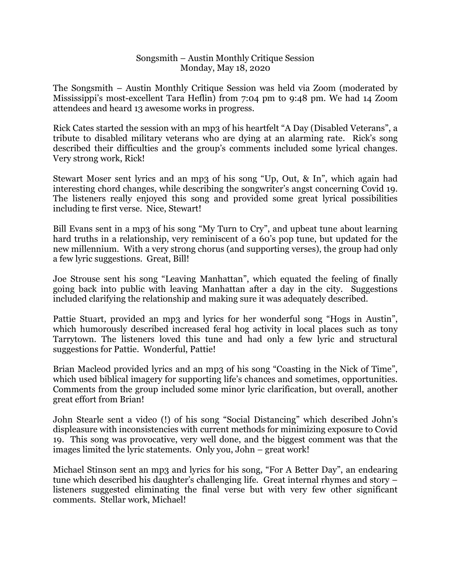## Songsmith – Austin Monthly Critique Session Monday, May 18, 2020

The Songsmith – Austin Monthly Critique Session was held via Zoom (moderated by Mississippi's most-excellent Tara Heflin) from 7:04 pm to 9:48 pm. We had 14 Zoom attendees and heard 13 awesome works in progress.

Rick Cates started the session with an mp3 of his heartfelt "A Day (Disabled Veterans", a tribute to disabled military veterans who are dying at an alarming rate. Rick's song described their difficulties and the group's comments included some lyrical changes. Very strong work, Rick!

Stewart Moser sent lyrics and an mp3 of his song "Up, Out, & In", which again had interesting chord changes, while describing the songwriter's angst concerning Covid 19. The listeners really enjoyed this song and provided some great lyrical possibilities including te first verse. Nice, Stewart!

Bill Evans sent in a mp3 of his song "My Turn to Cry", and upbeat tune about learning hard truths in a relationship, very reminiscent of a 60's pop tune, but updated for the new millennium. With a very strong chorus (and supporting verses), the group had only a few lyric suggestions. Great, Bill!

Joe Strouse sent his song "Leaving Manhattan", which equated the feeling of finally going back into public with leaving Manhattan after a day in the city. Suggestions included clarifying the relationship and making sure it was adequately described.

Pattie Stuart, provided an mp3 and lyrics for her wonderful song "Hogs in Austin", which humorously described increased feral hog activity in local places such as tony Tarrytown. The listeners loved this tune and had only a few lyric and structural suggestions for Pattie. Wonderful, Pattie!

Brian Macleod provided lyrics and an mp3 of his song "Coasting in the Nick of Time", which used biblical imagery for supporting life's chances and sometimes, opportunities. Comments from the group included some minor lyric clarification, but overall, another great effort from Brian!

John Stearle sent a video (!) of his song "Social Distancing" which described John's displeasure with inconsistencies with current methods for minimizing exposure to Covid 19. This song was provocative, very well done, and the biggest comment was that the images limited the lyric statements. Only you, John – great work!

Michael Stinson sent an mp3 and lyrics for his song, "For A Better Day", an endearing tune which described his daughter's challenging life. Great internal rhymes and story – listeners suggested eliminating the final verse but with very few other significant comments. Stellar work, Michael!